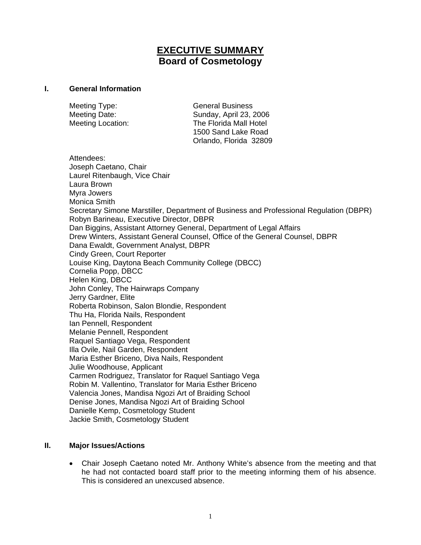# **EXECUTIVE SUMMARY Board of Cosmetology**

#### **I. General Information**

Meeting Type: General Business

Meeting Date: Sunday, April 23, 2006 Meeting Location: The Florida Mall Hotel 1500 Sand Lake Road Orlando, Florida 32809

Attendees: Joseph Caetano, Chair Laurel Ritenbaugh, Vice Chair Laura Brown Myra Jowers Monica Smith Secretary Simone Marstiller, Department of Business and Professional Regulation (DBPR) Robyn Barineau, Executive Director, DBPR Dan Biggins, Assistant Attorney General, Department of Legal Affairs Drew Winters, Assistant General Counsel, Office of the General Counsel, DBPR Dana Ewaldt, Government Analyst, DBPR Cindy Green, Court Reporter Louise King, Daytona Beach Community College (DBCC) Cornelia Popp, DBCC Helen King, DBCC John Conley, The Hairwraps Company Jerry Gardner, Elite Roberta Robinson, Salon Blondie, Respondent Thu Ha, Florida Nails, Respondent Ian Pennell, Respondent Melanie Pennell, Respondent Raquel Santiago Vega, Respondent Illa Ovile, Nail Garden, Respondent Maria Esther Briceno, Diva Nails, Respondent Julie Woodhouse, Applicant Carmen Rodriguez, Translator for Raquel Santiago Vega Robin M. Vallentino, Translator for Maria Esther Briceno Valencia Jones, Mandisa Ngozi Art of Braiding School Denise Jones, Mandisa Ngozi Art of Braiding School Danielle Kemp, Cosmetology Student Jackie Smith, Cosmetology Student

#### **II. Major Issues/Actions**

• Chair Joseph Caetano noted Mr. Anthony White's absence from the meeting and that he had not contacted board staff prior to the meeting informing them of his absence. This is considered an unexcused absence.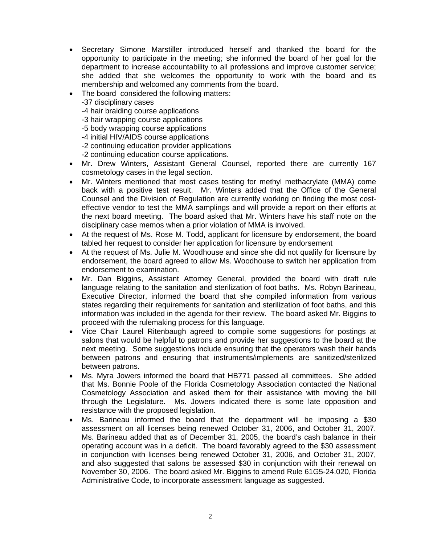- Secretary Simone Marstiller introduced herself and thanked the board for the opportunity to participate in the meeting; she informed the board of her goal for the department to increase accountability to all professions and improve customer service; she added that she welcomes the opportunity to work with the board and its membership and welcomed any comments from the board.
- The board considered the following matters:
	- -37 disciplinary cases
	- -4 hair braiding course applications
	- -3 hair wrapping course applications
	- -5 body wrapping course applications
	- -4 initial HIV/AIDS course applications
	- -2 continuing education provider applications
	- -2 continuing education course applications.
- Mr. Drew Winters, Assistant General Counsel, reported there are currently 167 cosmetology cases in the legal section.
- Mr. Winters mentioned that most cases testing for methyl methacrylate (MMA) come back with a positive test result. Mr. Winters added that the Office of the General Counsel and the Division of Regulation are currently working on finding the most costeffective vendor to test the MMA samplings and will provide a report on their efforts at the next board meeting. The board asked that Mr. Winters have his staff note on the disciplinary case memos when a prior violation of MMA is involved.
- At the request of Ms. Rose M. Todd, applicant for licensure by endorsement, the board tabled her request to consider her application for licensure by endorsement
- At the request of Ms. Julie M. Woodhouse and since she did not qualify for licensure by endorsement, the board agreed to allow Ms. Woodhouse to switch her application from endorsement to examination.
- Mr. Dan Biggins, Assistant Attorney General, provided the board with draft rule language relating to the sanitation and sterilization of foot baths. Ms. Robyn Barineau, Executive Director, informed the board that she compiled information from various states regarding their requirements for sanitation and sterilization of foot baths, and this information was included in the agenda for their review. The board asked Mr. Biggins to proceed with the rulemaking process for this language.
- Vice Chair Laurel Ritenbaugh agreed to compile some suggestions for postings at salons that would be helpful to patrons and provide her suggestions to the board at the next meeting. Some suggestions include ensuring that the operators wash their hands between patrons and ensuring that instruments/implements are sanitized/sterilized between patrons.
- Ms. Myra Jowers informed the board that HB771 passed all committees. She added that Ms. Bonnie Poole of the Florida Cosmetology Association contacted the National Cosmetology Association and asked them for their assistance with moving the bill through the Legislature. Ms. Jowers indicated there is some late opposition and resistance with the proposed legislation.
- Ms. Barineau informed the board that the department will be imposing a \$30 assessment on all licenses being renewed October 31, 2006, and October 31, 2007. Ms. Barineau added that as of December 31, 2005, the board's cash balance in their operating account was in a deficit. The board favorably agreed to the \$30 assessment in conjunction with licenses being renewed October 31, 2006, and October 31, 2007, and also suggested that salons be assessed \$30 in conjunction with their renewal on November 30, 2006. The board asked Mr. Biggins to amend Rule 61G5-24.020, Florida Administrative Code, to incorporate assessment language as suggested.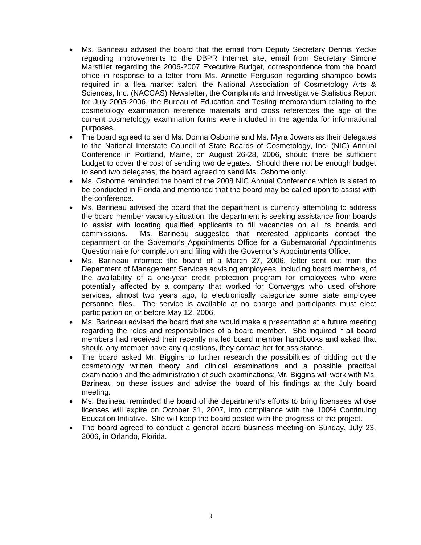- Ms. Barineau advised the board that the email from Deputy Secretary Dennis Yecke regarding improvements to the DBPR Internet site, email from Secretary Simone Marstiller regarding the 2006-2007 Executive Budget, correspondence from the board office in response to a letter from Ms. Annette Ferguson regarding shampoo bowls required in a flea market salon, the National Association of Cosmetology Arts & Sciences, Inc. (NACCAS) Newsletter, the Complaints and Investigative Statistics Report for July 2005-2006, the Bureau of Education and Testing memorandum relating to the cosmetology examination reference materials and cross references the age of the current cosmetology examination forms were included in the agenda for informational purposes.
- The board agreed to send Ms. Donna Osborne and Ms. Myra Jowers as their delegates to the National Interstate Council of State Boards of Cosmetology, Inc. (NIC) Annual Conference in Portland, Maine, on August 26-28, 2006, should there be sufficient budget to cover the cost of sending two delegates. Should there not be enough budget to send two delegates, the board agreed to send Ms. Osborne only.
- Ms. Osborne reminded the board of the 2008 NIC Annual Conference which is slated to be conducted in Florida and mentioned that the board may be called upon to assist with the conference.
- Ms. Barineau advised the board that the department is currently attempting to address the board member vacancy situation; the department is seeking assistance from boards to assist with locating qualified applicants to fill vacancies on all its boards and commissions. Ms. Barineau suggested that interested applicants contact the department or the Governor's Appointments Office for a Gubernatorial Appointments Questionnaire for completion and filing with the Governor's Appointments Office.
- Ms. Barineau informed the board of a March 27, 2006, letter sent out from the Department of Management Services advising employees, including board members, of the availability of a one-year credit protection program for employees who were potentially affected by a company that worked for Convergys who used offshore services, almost two years ago, to electronically categorize some state employee personnel files. The service is available at no charge and participants must elect participation on or before May 12, 2006.
- Ms. Barineau advised the board that she would make a presentation at a future meeting regarding the roles and responsibilities of a board member. She inquired if all board members had received their recently mailed board member handbooks and asked that should any member have any questions, they contact her for assistance.
- The board asked Mr. Biggins to further research the possibilities of bidding out the cosmetology written theory and clinical examinations and a possible practical examination and the administration of such examinations; Mr. Biggins will work with Ms. Barineau on these issues and advise the board of his findings at the July board meeting.
- Ms. Barineau reminded the board of the department's efforts to bring licensees whose licenses will expire on October 31, 2007, into compliance with the 100% Continuing Education Initiative. She will keep the board posted with the progress of the project.
- The board agreed to conduct a general board business meeting on Sunday, July 23, 2006, in Orlando, Florida.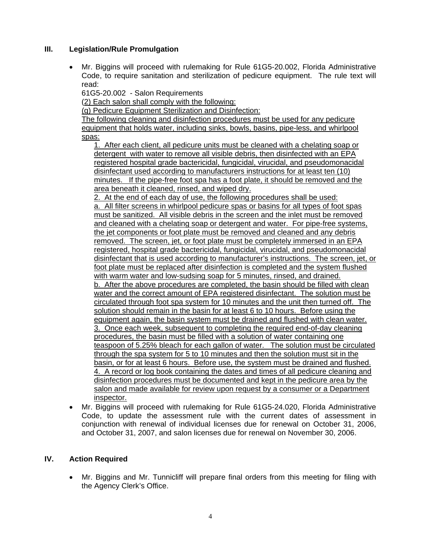### **III. Legislation/Rule Promulgation**

• Mr. Biggins will proceed with rulemaking for Rule 61G5-20.002, Florida Administrative Code, to require sanitation and sterilization of pedicure equipment. The rule text will read:

61G5-20.002 - Salon Requirements

(2) Each salon shall comply with the following:

(g) Pedicure Equipment Sterilization and Disinfection:

The following cleaning and disinfection procedures must be used for any pedicure equipment that holds water, including sinks, bowls, basins, pipe-less, and whirlpool spas:

1. After each client, all pedicure units must be cleaned with a chelating soap or detergent with water to remove all visible debris, then disinfected with an EPA registered hospital grade bactericidal, fungicidal, virucidal, and pseudomonacidal disinfectant used according to manufacturers instructions for at least ten (10) minutes. If the pipe-free foot spa has a foot plate, it should be removed and the area beneath it cleaned, rinsed, and wiped dry.

2. At the end of each day of use, the following procedures shall be used: a. All filter screens in whirlpool pedicure spas or basins for all types of foot spas must be sanitized. All visible debris in the screen and the inlet must be removed and cleaned with a chelating soap or detergent and water. For pipe-free systems, the jet components or foot plate must be removed and cleaned and any debris removed. The screen, jet, or foot plate must be completely immersed in an EPA registered, hospital grade bactericidal, fungicidal, virucidal, and pseudomonacidal disinfectant that is used according to manufacturer's instructions. The screen, jet, or foot plate must be replaced after disinfection is completed and the system flushed with warm water and low-sudsing soap for 5 minutes, rinsed, and drained. b. After the above procedures are completed, the basin should be filled with clean water and the correct amount of EPA registered disinfectant. The solution must be circulated through foot spa system for 10 minutes and the unit then turned off. The solution should remain in the basin for at least 6 to 10 hours. Before using the equipment again, the basin system must be drained and flushed with clean water. 3. Once each week, subsequent to completing the required end-of-day cleaning procedures, the basin must be filled with a solution of water containing one teaspoon of 5.25% bleach for each gallon of water. The solution must be circulated through the spa system for 5 to 10 minutes and then the solution must sit in the basin, or for at least 6 hours. Before use, the system must be drained and flushed. 4. A record or log book containing the dates and times of all pedicure cleaning and disinfection procedures must be documented and kept in the pedicure area by the salon and made available for review upon request by a consumer or a Department inspector.

• Mr. Biggins will proceed with rulemaking for Rule 61G5-24.020, Florida Administrative Code, to update the assessment rule with the current dates of assessment in conjunction with renewal of individual licenses due for renewal on October 31, 2006, and October 31, 2007, and salon licenses due for renewal on November 30, 2006.

## **IV. Action Required**

• Mr. Biggins and Mr. Tunnicliff will prepare final orders from this meeting for filing with the Agency Clerk's Office.